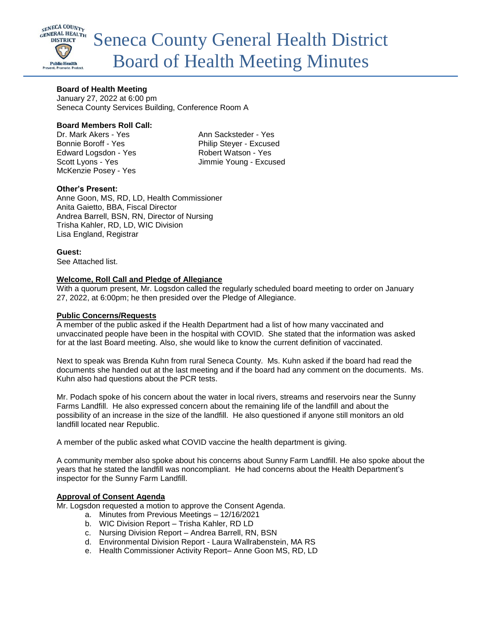

# **Board of Health Meeting**

January 27, 2022 at 6:00 pm Seneca County Services Building, Conference Room A

## **Board Members Roll Call:**

Dr. Mark Akers - Yes Ann Sacksteder - Yes Bonnie Boroff - Yes Philip Stever - Excused Edward Logsdon - Yes Robert Watson - Yes McKenzie Posey - Yes

Scott Lyons - Yes Jimmie Young - Excused

# **Other's Present:**

Anne Goon, MS, RD, LD, Health Commissioner Anita Gaietto, BBA, Fiscal Director Andrea Barrell, BSN, RN, Director of Nursing Trisha Kahler, RD, LD, WIC Division Lisa England, Registrar

**Guest:**

See Attached list.

# **Welcome, Roll Call and Pledge of Allegiance**

With a quorum present, Mr. Logsdon called the regularly scheduled board meeting to order on January 27, 2022, at 6:00pm; he then presided over the Pledge of Allegiance.

## **Public Concerns/Requests**

A member of the public asked if the Health Department had a list of how many vaccinated and unvaccinated people have been in the hospital with COVID. She stated that the information was asked for at the last Board meeting. Also, she would like to know the current definition of vaccinated.

Next to speak was Brenda Kuhn from rural Seneca County. Ms. Kuhn asked if the board had read the documents she handed out at the last meeting and if the board had any comment on the documents. Ms. Kuhn also had questions about the PCR tests.

Mr. Podach spoke of his concern about the water in local rivers, streams and reservoirs near the Sunny Farms Landfill. He also expressed concern about the remaining life of the landfill and about the possibility of an increase in the size of the landfill. He also questioned if anyone still monitors an old landfill located near Republic.

A member of the public asked what COVID vaccine the health department is giving.

A community member also spoke about his concerns about Sunny Farm Landfill. He also spoke about the years that he stated the landfill was noncompliant. He had concerns about the Health Department's inspector for the Sunny Farm Landfill.

## **Approval of Consent Agenda**

Mr. Logsdon requested a motion to approve the Consent Agenda.

- a. Minutes from Previous Meetings 12/16/2021
- b. WIC Division Report Trisha Kahler, RD LD
- c. Nursing Division Report Andrea Barrell, RN, BSN
- d. Environmental Division Report Laura Wallrabenstein, MA RS
- e. Health Commissioner Activity Report– Anne Goon MS, RD, LD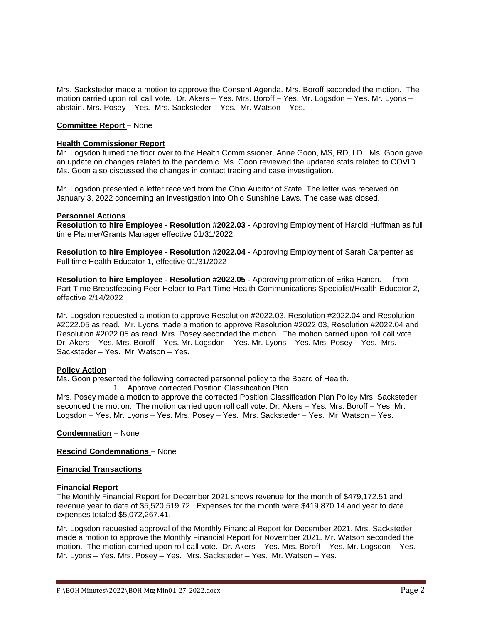Mrs. Sacksteder made a motion to approve the Consent Agenda. Mrs. Boroff seconded the motion. The motion carried upon roll call vote. Dr. Akers – Yes. Mrs. Boroff – Yes. Mr. Logsdon – Yes. Mr. Lyons – abstain. Mrs. Posey – Yes. Mrs. Sacksteder – Yes. Mr. Watson – Yes.

## **Committee Report** – None

## **Health Commissioner Report**

Mr. Logsdon turned the floor over to the Health Commissioner, Anne Goon, MS, RD, LD. Ms. Goon gave an update on changes related to the pandemic. Ms. Goon reviewed the updated stats related to COVID. Ms. Goon also discussed the changes in contact tracing and case investigation.

Mr. Logsdon presented a letter received from the Ohio Auditor of State. The letter was received on January 3, 2022 concerning an investigation into Ohio Sunshine Laws. The case was closed.

#### **Personnel Actions**

**Resolution to hire Employee - Resolution #2022.03 -** Approving Employment of Harold Huffman as full time Planner/Grants Manager effective 01/31/2022

**Resolution to hire Employee - Resolution #2022.04 -** Approving Employment of Sarah Carpenter as Full time Health Educator 1, effective 01/31/2022

**Resolution to hire Employee - Resolution #2022.05 -** Approving promotion of Erika Handru – from Part Time Breastfeeding Peer Helper to Part Time Health Communications Specialist/Health Educator 2, effective 2/14/2022

Mr. Logsdon requested a motion to approve Resolution #2022.03, Resolution #2022.04 and Resolution #2022.05 as read. Mr. Lyons made a motion to approve Resolution #2022.03, Resolution #2022.04 and Resolution #2022.05 as read. Mrs. Posey seconded the motion. The motion carried upon roll call vote. Dr. Akers – Yes. Mrs. Boroff – Yes. Mr. Logsdon – Yes. Mr. Lyons – Yes. Mrs. Posey – Yes. Mrs. Sacksteder – Yes. Mr. Watson – Yes.

## **Policy Action**

Ms. Goon presented the following corrected personnel policy to the Board of Health.

1. Approve corrected Position Classification Plan

Mrs. Posey made a motion to approve the corrected Position Classification Plan Policy Mrs. Sacksteder seconded the motion. The motion carried upon roll call vote. Dr. Akers – Yes. Mrs. Boroff – Yes. Mr. Logsdon – Yes. Mr. Lyons – Yes. Mrs. Posey – Yes. Mrs. Sacksteder – Yes. Mr. Watson – Yes.

**Condemnation** – None

**Rescind Condemnations** – None

#### **Financial Transactions**

#### **Financial Report**

The Monthly Financial Report for December 2021 shows revenue for the month of \$479,172.51 and revenue year to date of \$5,520,519.72. Expenses for the month were \$419,870.14 and year to date expenses totaled \$5,072,267.41.

Mr. Logsdon requested approval of the Monthly Financial Report for December 2021. Mrs. Sacksteder made a motion to approve the Monthly Financial Report for November 2021. Mr. Watson seconded the motion. The motion carried upon roll call vote. Dr. Akers – Yes. Mrs. Boroff – Yes. Mr. Logsdon – Yes. Mr. Lyons – Yes. Mrs. Posey – Yes. Mrs. Sacksteder – Yes. Mr. Watson – Yes.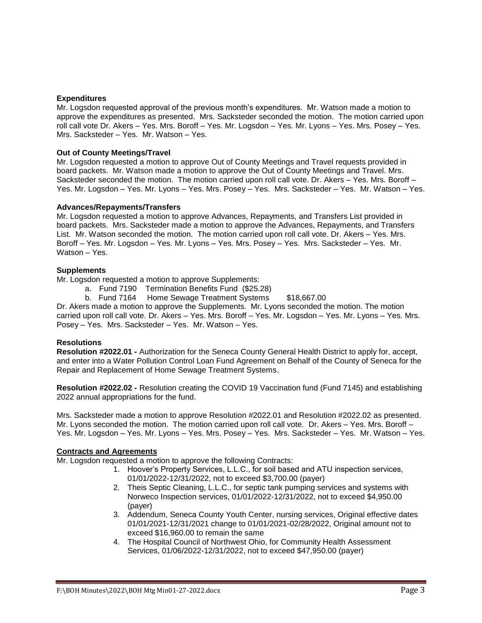## **Expenditures**

Mr. Logsdon requested approval of the previous month's expenditures. Mr. Watson made a motion to approve the expenditures as presented. Mrs. Sacksteder seconded the motion. The motion carried upon roll call vote Dr. Akers – Yes. Mrs. Boroff – Yes. Mr. Logsdon – Yes. Mr. Lyons – Yes. Mrs. Posey – Yes. Mrs. Sacksteder – Yes. Mr. Watson – Yes.

## **Out of County Meetings/Travel**

Mr. Logsdon requested a motion to approve Out of County Meetings and Travel requests provided in board packets. Mr. Watson made a motion to approve the Out of County Meetings and Travel. Mrs. Sacksteder seconded the motion. The motion carried upon roll call vote. Dr. Akers – Yes. Mrs. Boroff – Yes. Mr. Logsdon – Yes. Mr. Lyons – Yes. Mrs. Posey – Yes. Mrs. Sacksteder – Yes. Mr. Watson – Yes.

## **Advances/Repayments/Transfers**

Mr. Logsdon requested a motion to approve Advances, Repayments, and Transfers List provided in board packets. Mrs. Sacksteder made a motion to approve the Advances, Repayments, and Transfers List. Mr. Watson seconded the motion. The motion carried upon roll call vote. Dr. Akers – Yes. Mrs. Boroff – Yes. Mr. Logsdon – Yes. Mr. Lyons – Yes. Mrs. Posey – Yes. Mrs. Sacksteder – Yes. Mr. Watson – Yes.

## **Supplements**

Mr. Logsdon requested a motion to approve Supplements:

- a. Fund 7190 Termination Benefits Fund (\$25.28)
- b. Fund 7164 Home Sewage Treatment Systems \$18,667.00

Dr. Akers made a motion to approve the Supplements. Mr. Lyons seconded the motion. The motion carried upon roll call vote. Dr. Akers – Yes. Mrs. Boroff – Yes. Mr. Logsdon – Yes. Mr. Lyons – Yes. Mrs. Posey – Yes. Mrs. Sacksteder – Yes. Mr. Watson – Yes.

## **Resolutions**

**Resolution #2022.01 -** Authorization for the Seneca County General Health District to apply for, accept, and enter into a Water Pollution Control Loan Fund Agreement on Behalf of the County of Seneca for the Repair and Replacement of Home Sewage Treatment Systems.

**Resolution #2022.02 -** Resolution creating the COVID 19 Vaccination fund (Fund 7145) and establishing 2022 annual appropriations for the fund.

Mrs. Sacksteder made a motion to approve Resolution #2022.01 and Resolution #2022.02 as presented. Mr. Lyons seconded the motion. The motion carried upon roll call vote. Dr. Akers – Yes. Mrs. Boroff – Yes. Mr. Logsdon – Yes. Mr. Lyons – Yes. Mrs. Posey – Yes. Mrs. Sacksteder – Yes. Mr. Watson – Yes.

## **Contracts and Agreements**

Mr. Logsdon requested a motion to approve the following Contracts:

- 1. Hoover's Property Services, L.L.C., for soil based and ATU inspection services, 01/01/2022-12/31/2022, not to exceed \$3,700.00 (payer)
- 2. Theis Septic Cleaning, L.L.C., for septic tank pumping services and systems with Norweco Inspection services, 01/01/2022-12/31/2022, not to exceed \$4,950.00 (payer)
- 3. Addendum, Seneca County Youth Center, nursing services, Original effective dates 01/01/2021-12/31/2021 change to 01/01/2021-02/28/2022, Original amount not to exceed \$16,960.00 to remain the same
- 4. The Hospital Council of Northwest Ohio, for Community Health Assessment Services, 01/06/2022-12/31/2022, not to exceed \$47,950.00 (payer)